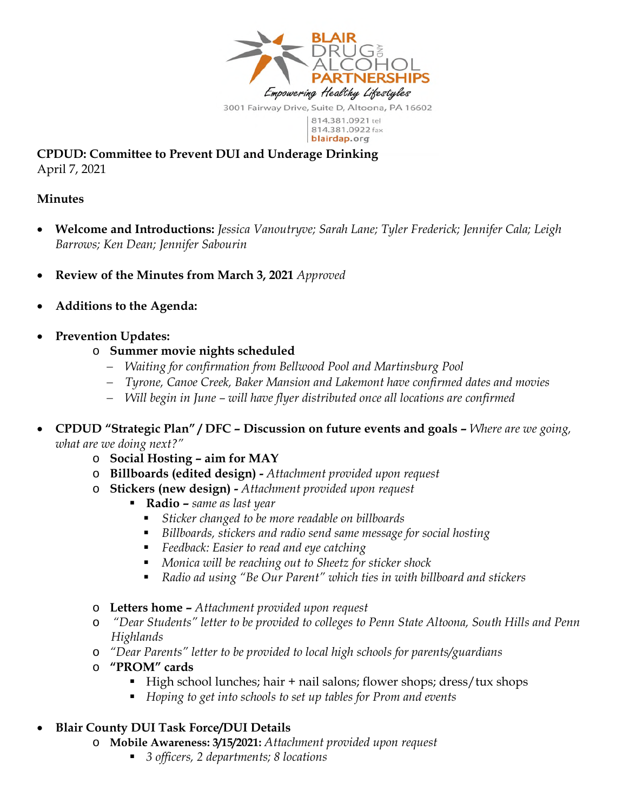

**CPDUD: Committee to Prevent DUI and Underage Drinking**  April 7, 2021

## **Minutes**

- **Welcome and Introductions:** *Jessica Vanoutryve; Sarah Lane; Tyler Frederick; Jennifer Cala; Leigh Barrows; Ken Dean; Jennifer Sabourin*
- **Review of the Minutes from March 3, 2021** *Approved*
- **Additions to the Agenda:**
- **Prevention Updates:** 
	- o **Summer movie nights scheduled** 
		- *Waiting for confirmation from Bellwood Pool and Martinsburg Pool*
		- *Tyrone, Canoe Creek, Baker Mansion and Lakemont have confirmed dates and movies*
		- *Will begin in June will have flyer distributed once all locations are confirmed*
- **CPDUD "Strategic Plan" / DFC Discussion on future events and goals** *Where are we going, what are we doing next?"* 
	- o **Social Hosting aim for MAY**
	- o **Billboards (edited design)** *Attachment provided upon request*
	- o **Stickers (new design)** *Attachment provided upon request*
		- **Radio** *same as last year*
			- *Sticker changed to be more readable on billboards*
			- *Billboards, stickers and radio send same message for social hosting*
			- *Feedback: Easier to read and eye catching*
			- *Monica will be reaching out to Sheetz for sticker shock*
			- *Radio ad using "Be Our Parent" which ties in with billboard and stickers*
	- o **Letters home** *Attachment provided upon request*
	- o *"Dear Students" letter to be provided to colleges to Penn State Altoona, South Hills and Penn Highlands*
	- o *"Dear Parents" letter to be provided to local high schools for parents/guardians*
	- o **"PROM" cards** 
		- High school lunches; hair + nail salons; flower shops; dress/tux shops
		- *Hoping to get into schools to set up tables for Prom and events*

## **Blair County DUI Task Force/DUI Details**

- o **Mobile Awareness: 3/15/2021:** *Attachment provided upon request*
	- *3 officers, 2 departments; 8 locations*